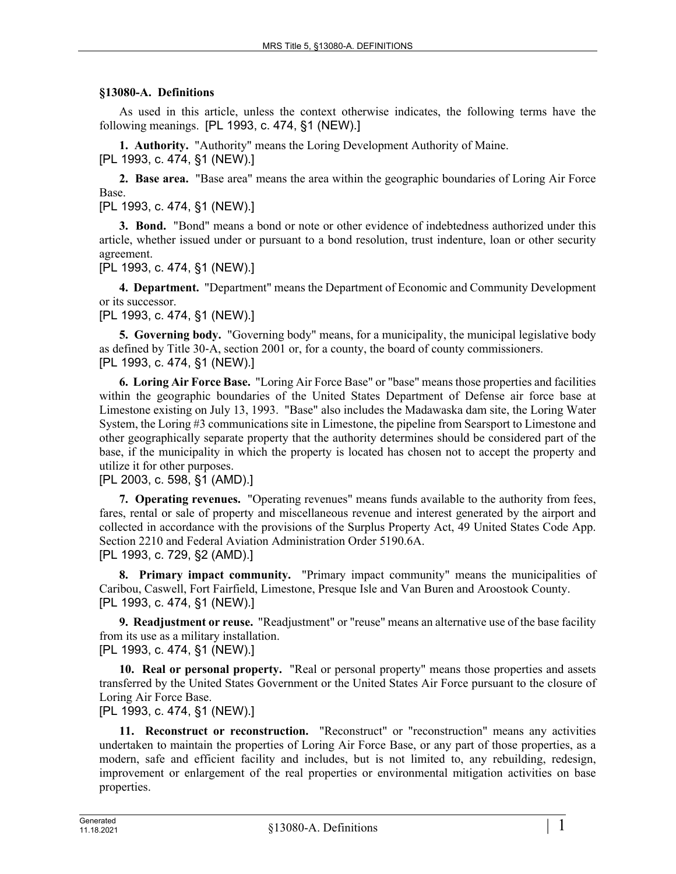## **§13080-A. Definitions**

As used in this article, unless the context otherwise indicates, the following terms have the following meanings. [PL 1993, c. 474, §1 (NEW).]

**1. Authority.** "Authority" means the Loring Development Authority of Maine.

[PL 1993, c. 474, §1 (NEW).]

**2. Base area.** "Base area" means the area within the geographic boundaries of Loring Air Force Base.

[PL 1993, c. 474, §1 (NEW).]

**3. Bond.** "Bond" means a bond or note or other evidence of indebtedness authorized under this article, whether issued under or pursuant to a bond resolution, trust indenture, loan or other security agreement.

[PL 1993, c. 474, §1 (NEW).]

**4. Department.** "Department" means the Department of Economic and Community Development or its successor.

[PL 1993, c. 474, §1 (NEW).]

**5. Governing body.** "Governing body" means, for a municipality, the municipal legislative body as defined by Title 30‑A, section 2001 or, for a county, the board of county commissioners. [PL 1993, c. 474, §1 (NEW).]

**6. Loring Air Force Base.** "Loring Air Force Base" or "base" means those properties and facilities within the geographic boundaries of the United States Department of Defense air force base at Limestone existing on July 13, 1993. "Base" also includes the Madawaska dam site, the Loring Water System, the Loring #3 communications site in Limestone, the pipeline from Searsport to Limestone and other geographically separate property that the authority determines should be considered part of the base, if the municipality in which the property is located has chosen not to accept the property and utilize it for other purposes.

## [PL 2003, c. 598, §1 (AMD).]

**7. Operating revenues.** "Operating revenues" means funds available to the authority from fees, fares, rental or sale of property and miscellaneous revenue and interest generated by the airport and collected in accordance with the provisions of the Surplus Property Act, 49 United States Code App. Section 2210 and Federal Aviation Administration Order 5190.6A. [PL 1993, c. 729, §2 (AMD).]

**8. Primary impact community.** "Primary impact community" means the municipalities of Caribou, Caswell, Fort Fairfield, Limestone, Presque Isle and Van Buren and Aroostook County. [PL 1993, c. 474, §1 (NEW).]

**9. Readjustment or reuse.** "Readjustment" or "reuse" means an alternative use of the base facility from its use as a military installation.

[PL 1993, c. 474, §1 (NEW).]

**10. Real or personal property.** "Real or personal property" means those properties and assets transferred by the United States Government or the United States Air Force pursuant to the closure of Loring Air Force Base.

[PL 1993, c. 474, §1 (NEW).]

**11. Reconstruct or reconstruction.** "Reconstruct" or "reconstruction" means any activities undertaken to maintain the properties of Loring Air Force Base, or any part of those properties, as a modern, safe and efficient facility and includes, but is not limited to, any rebuilding, redesign, improvement or enlargement of the real properties or environmental mitigation activities on base properties.